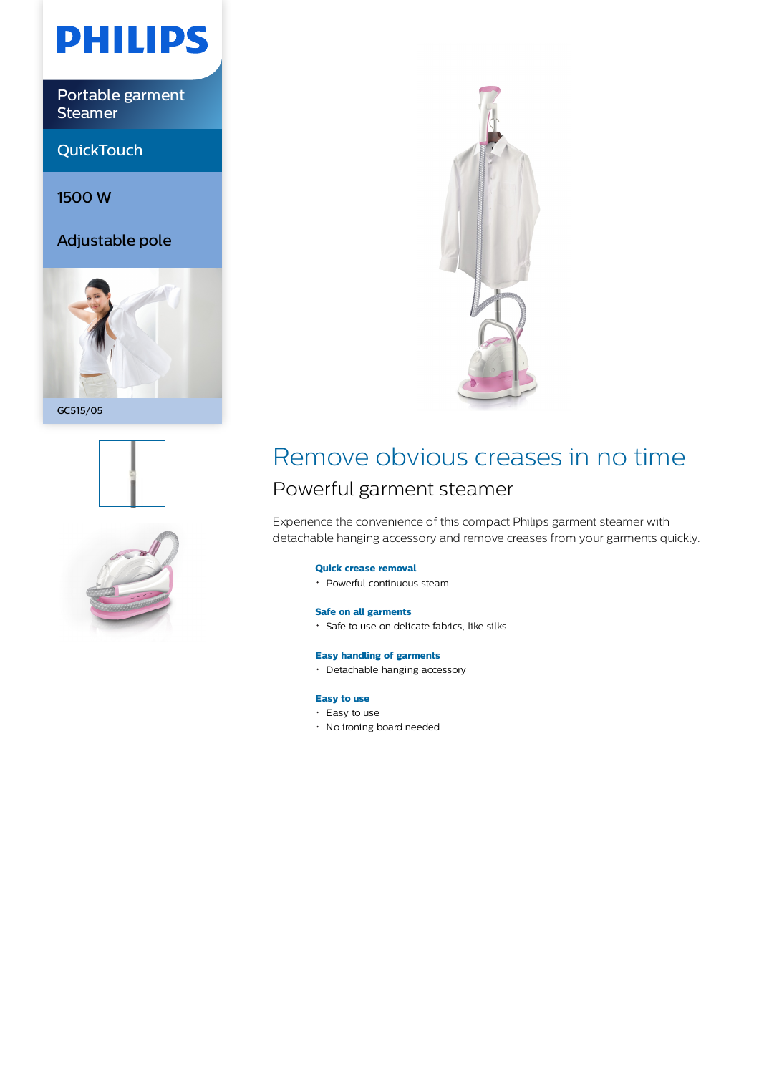

Portable garment Steamer

**QuickTouch** 

1500 W

Adjustable pole



GC515/05







## Remove obvious creases in no time Powerful garment steamer

Experience the convenience of this compact Philips garment steamer with detachable hanging accessory and remove creases from your garments quickly.

#### **Quick crease removal**

Powerful continuous steam

#### **Safe on all garments**

Safe to use on delicate fabrics, like silks

#### **Easy handling of garments**

Detachable hanging accessory

### **Easy to use**

- $\cdot$  Easy to use
- No ironing board needed